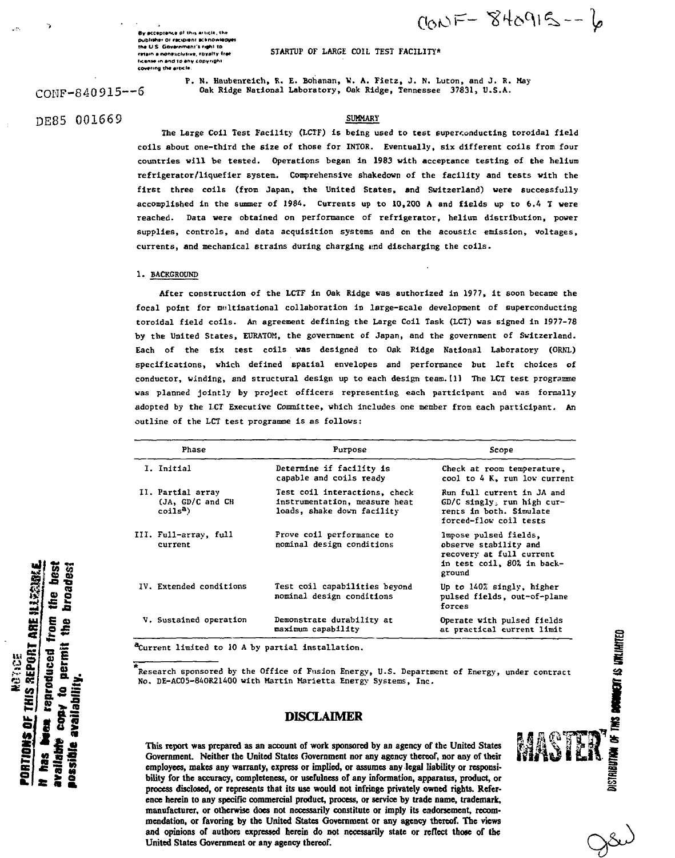$900F - 840915 - 6$ 

**BY »cc«ptartc« \*\* thl»** publisher or recipient scknowledj **the U.S. Government's right to** retain a nonesclusive, foyalty-free **itcante in end to any convright cOvtrrrvg the aiccl\***

**STARTUP OF LARGE COIL TEST FACILITY\***

CONF-840 915—6

**P. N. Haubenreich, R. E. Bohanan, V. A. Fietz, J. N. Luton, and J. R. May Oak Ridge National Laboratory, Oak Ridge, Tennessee 37831, U.S.A.**

**The Large Coll Test Facility (LCTF) Is being used to test superconducting toroidal field coils about one-third the 6lze of those for INTOR. Eventually, six different coils from four countries vill be tested. Operations began In 1983 with acceptance testing of the helium refrigerator/liquefier system. Comprehensive shakedown of the facility and tests with the first three coils (from Japan, the United States, and Switzerland) were successfully accomplished in the summer of 1984. Currents up to 10,200 A and fields up to 6.4 T were reached. Data were obtained on performance of refrigerator, helium distribution, pover supplies, controls, and data acquisition systems and on the acoustic emission, voltages, currents, and mechanical strains during charging end discharging the colls.**

#### **1. BACKGROUND**

**After construction of the LCTF in Oak Ridge vas authorized in 1977, it soon became the focal point for multinational collaboration in large-scale development of superconducting toroidal field coils. An agreement defining the Large Coil Task (LCT) was signed in 1977-78 by the United States, EURATOM, the government of Japan, and the government of Switzerland. Each of the six test coils vas designed to Oak Ridge National Laboratory (ORNL) specifications, which defined spatial envelopes and performance but left choices of conductor, winding, and structural design up to each design team. [1] The LCT test programme was planned jointly by project officers representing each participant and was formally adopted by the LCT Executive Committee, which includes one member from each participant. An outline of the LCT test programme is as follows:**

| Phase                                                         | Purpose                                                                                      | Scope                                                                                                              |
|---------------------------------------------------------------|----------------------------------------------------------------------------------------------|--------------------------------------------------------------------------------------------------------------------|
| I. Initial                                                    | Determine if facility is<br>capable and coils ready                                          | Check at room temperature,<br>cool to 4 K, run low current                                                         |
| II. Partial array<br>(JA, GD/C and CH<br>coils <sup>a</sup> ) | Test coil interactions, check<br>instrumentation, measure heat<br>loads, shake down facility | Run full current in JA and<br>$GD/C$ singly, run high cur-<br>rents in both. Simulate<br>forced-flow coil tests    |
| III. Full-array, full<br>current                              | Prove coil performance to<br>nominal design conditions                                       | lmpose pulsed fields.<br>observe stability and<br>recovery at full current<br>in test coil, 80% in back-<br>ground |
| IV. Extended conditions                                       | Test coil capabilities beyond<br>nominal design conditions                                   | Up to 140% singly, higher<br>pulsed fields, out-of-plane<br>forces                                                 |
| V. Sustained operation                                        | Demonstrate durability at<br>maximum capability                                              | Operate with pulsed fields<br>at practical current limit                                                           |

**Current limited to 10 A by partial installation.**

**Research sponsored by the Office of Fusion Energy, U.S. Department of Energy, under contract No. DE-AC05-84OR21400 with Martin Marietta Energy Systems, Inc.**

## DISCLAIMER

**This report was prepared as an account of work sponsored by an agency of the United States Government. Neither the United States Government nor any agency thereof, nor any of their employees, makes any warranty, express or implied, or assumes any legal liability or responsibility for the accuracy, completeness, or usefulness of any information, apparatus, product, or process disclosed, or represents that its use would not infringe privately owned rights. Reference herein to any specific commercial product, process, or service by trade name, trademark, manufacturer, or otherwise does not necessarily constitute or imply its endorsement, recommendation, or favoring by the United States Government or any agency thereof. The views and opinions of authors expressed herein do not necessarily state or reflect those of the United States Government or any agency thereof.**



# DE85 001669 **SUMMARY**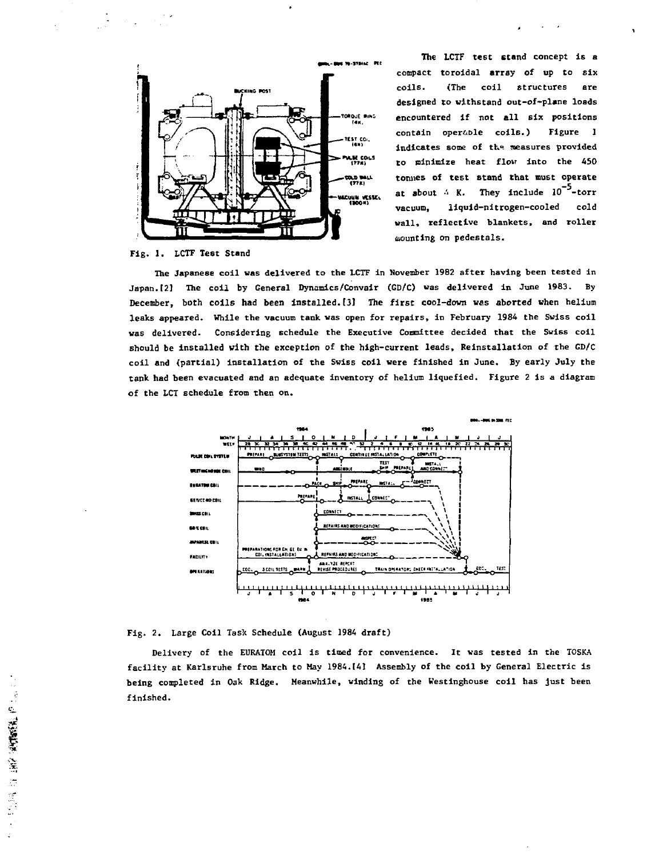

**The LCTF test stand concept Is a compact toroidal array of up to six colls. (The coil structures are** designed to withstand out-of-plane loads **encountered if not all six positions contain oper&Dle coils.) Figure 1** indicates some of the measures provided **to minimize heat flov into the 450** tonnes of test stand that must operate at about  $\frac{1}{2}$  K. They include 10<sup>-5</sup>-torr **vacuum, liquid-nitrogen-cooled cold vail, reflective blankets, and roller counting on pedestals.**

### **Fig. 1. IXTF Test Stand**

**The Japanese coil was delivered to the LCTF in November 1982 after having been tested in Japan. 12] The coil by General Dynamics/Convair (GD/C) was delivered in June 1983. By December, both coils had been installed.[3] The first cool-down was aborted when helium leaks appeared. While the vacuum tank was open for repairs, in February 1984 the Swiss coil was delivered. Considering schedule the Executive Committee decided that the Swiss coil should be installed with the exception of the high-current leads, Reinstallation of the GD/C coil and (partial) installation of the Swiss coil were finished in June, By early July the tank had been evacuated and an adequate Inventory of helium liquefied. Figure 2 is a diagram of the LCT schedule from then on.**



**Fig. 2. Large Coil Task Schedule (August 1984 draft)**

**Delivery of the EURATOM coil is timed for convenience. It was tested in the TOSKA facility at Karlsruhe from March to May 1984.(4] Assembly of the coil by General Electric is being completed in Oak Ridge. Meanwhile, winding of the Westinghouse coil has just been finished.**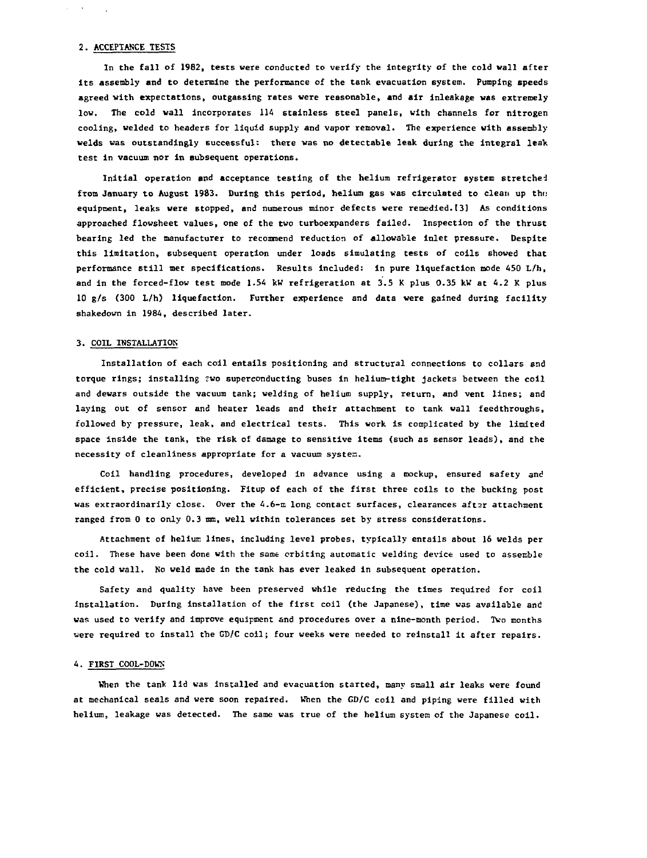#### **2. ACCEPTANCE TESTS**

 $\mathcal{L}^{\text{max}}$  and

**In the fall of 1982, tests were conducted to verify the integrity of the cold wall after its assembly and to determine the performance of the tank evacuation system. Pumping speeds agreed with expectations, outgassing rates were reasonable, and air lnleakage was extremely low. The cold wall Incorporates 114 stainless steel panels, with channels for nitrogen cooling, welded to headers for liquid supply and vapor removal. The experience with assembly welds was outstandingly successful: there was no detectable leak during the integral leak test in vacuum nor In subsequent operations.**

**Initial operation and acceptance testing of the helium refrigerator system stretched** from January to August 1983. During this period, helium gas was circulated to clean up the **equipment, leaks were stopped, and numerous minor defects were remedied. (3] As conditions approached flowsheet values, one of the two turboexpanders failed. Inspection of the thrust bearing led the manufacturer to recommend reduction of allowable inlet pressure. Despite this limitation, subsequent operation under loads simulating tests of coils showed that performance still met specifications. Results Included: in pure liquefaction mode 450 L/h, and in the forced-flow test mode 1.54 kW refrigeration at 3.5 K plus 0.35 kW at 4.2 K plus 10 g/s (300 L/h) liquefaction. Further experience and data were gained during facility shakedown in 1984, described later.**

### **3. COIL INSTALLATION**

**Installation of each coil entails positioning and structural connections to collars and torque rings; installing 'wo superconducting buses In helium-tight jackets between the coil and dewars outside the vacuum tank; welding of helium supply, return, and vent lines; and laying out of sensor and heater leads and their attachment to tank wall feedthroughs, followed by pressure, leak, and electrical tests. This work is complicated by the limited space inside the tank, the risk of damage to sensitive items (such as sensor leads), and the necessity of cleanliness appropriate for a vacuum system.**

Coil handling procedures, developed in advance using a mockup, ensured safety and **efficient, precise positioning. Fitup of each of the first three coils to the bucking post** was extraordinarily close. Over the 4.6-m long contact surfaces, clearances after attachment **ranged from 0 to only 0.3 mm, well within tolerances set by stress considerations.**

Attachment of helium lines, including level probes, typically entails about 16 welds per **coil. These have been done with the same orbiting automatic welding device used to assemble the cold wall. No weld made in the tank has ever leaked in subsequent operation.**

**Safety and quality have been preserved while reducing the times required for coil installation. During installation of the first coil (the Japanese), time was available and was used to verify and improve equipment and procedures over a nine-month period. Two months were required to install the GD/C coil; four weeks were needed to reinstall it after repairs.**

#### **4. FIRST COOL-DOWK**

**When the tank lid was installed and evacuation started, many small air leaks were found at mechanical seals and were soon repaired. When the GD/C coil and piping were filled with helium, leakage was detected. The same was true of the helium system of the Japanese coil.**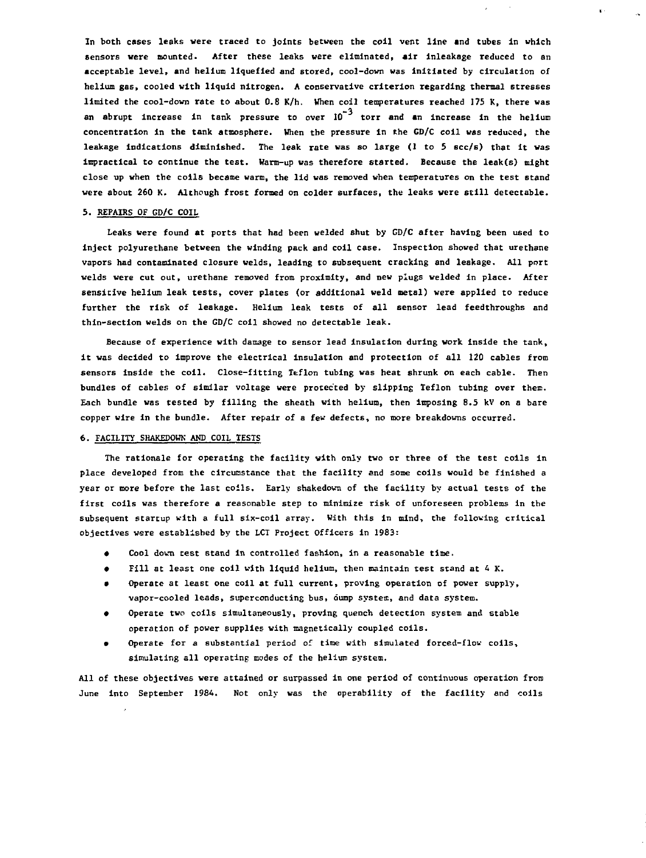**In both cases leaks were traced to joints between the coll vent line and tubes in which sensors were mounted. After these leaks vere eliminated, air inleakage reduced to an acceptable level, and helium liquefied and stored, cool-down was initiated by circulation of helium gas, cooled with liquid nitrogen. A conservative criterion regarding thermal stresses limited the cool-dovn rate to about 0.8 K/h. When coil temperatures reached 175 K, there was an abrupt Increase in tank pressure to over 10 torr and an Increase In the helium concentration in the tank atmosphere. When the pressure in the GD/C coil was reduced, the leakage indications diminished. The leak rate was so large (1 to 5 scc/s) that it was impractical to continue the test. Warm-up was therefore started. Because the leak(s) might close up when the coils became warm, the lid was removed when temperatures on the test stand vere about 260 K. Although frost formed on colder surfaces, the leaks were still detectable.**

### **5. REPAIRS OF GD/C COIL**

**Leaks vere found at ports that had been welded shut by GD/C after having been used to inject polyurethane between the winding pack and coll case. Inspection showed that urethane vapors had contaminated closure velds, leading to subsequent cracking and leakage. All port velds were cut out, urethane removed from proximity, and new plugs welded in place. After sensitive helium leak tests, cover plates (or additional veld metal) were applied to reduce further the risk of leakage. Helium leak tests of all sensor lead feedthroughs and thin-section welds on the GD/C coil showed no detectable leak.**

**Because of experience with damage to sensor lead insulation during work inside the tank, It was decided to Improve the electrical insulation snd protection of all 120 cables from sensors Inside the coil. Close-fitting Teflon tubing was heat shrunk on each cable. Then bundles of cables of similar voltage were protected by slipping Teflon tubing over them. Each bundle was tested by filling the sheath with helium, then imposing 8.5 kV on a bare copper wire in the bundle. After repair of a few defects, no more breakdowns occurred.**

### **6. FACILITY SHAKEDOHK AND COIL TESTS**

**The rationale for operating the facility with only two or three of the test coils in place developed from the circumstance that the facility and some coils would be finished a year or more before the last coils. Early shakedown of the facility by actual tests of the first coils was therefore a reasonable step to minimize risk of unforeseen problems In the subsequent startup with a full six-coil array. With this in mind, the following critical objectives were established by the LCT Project Officers in 1983:**

- **Cool down test stand in controlled fashion, in a reasonable time.**
- **Fill at least one coil with liquid helium, then maintain test stand at 4 K.**
- **Operate at least one coil at full current, proving operation of power supply, vapor-cooled leads, superconducting bus, dump system, and data system.**
- **Operate two coils simultaneously, proving quench detection system and stable operation of power supplies with magnetically coupled coils.**
- **Operate for a substantial period of time with simulated forced-flov coils, simulating all operating modes of the helium system.**

**All of these objectives were attained or surpassed in one period of continuous operation from June into September 1984. Not only was the operability of the facility and coils**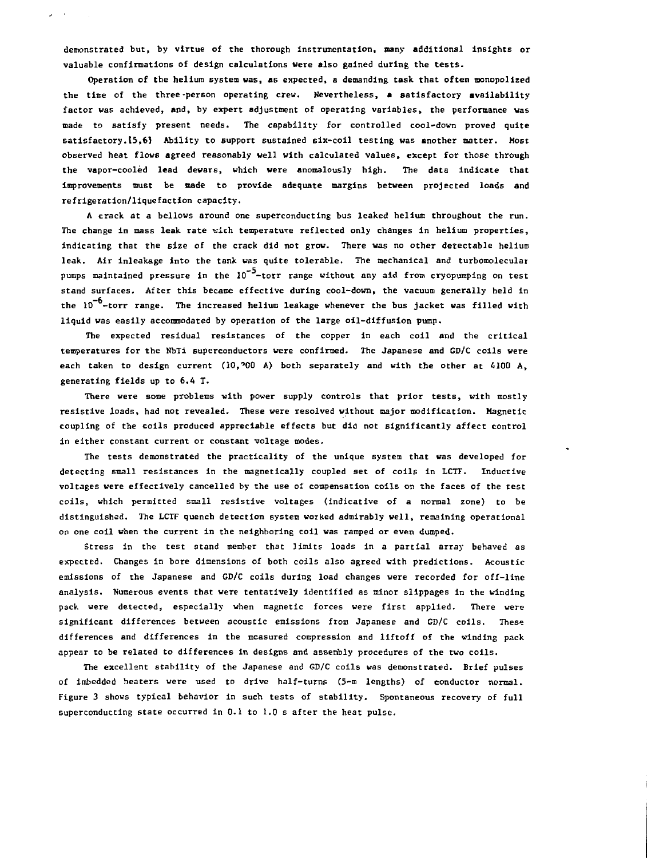**demonstrated but, by virtue of the thorough Instrumentation, many additional Insights or** valuable confirmations of design calculations were also gained during the tests.

**Operation of the helium system was, as expected, a demanding task that often monopolized the time of the three-person operating crew. Nevertheless, a satisfactory availability factor was achieved, and, by expert adjustment of operating variables, the performance was made to satisfy present needs. The capability for controlled cool-down proved quite satisfactory.(5,6) Ability to support sustained six-coil testing was another matter. Most observed heat flows agreed reasonably well with calculated values, except for those through the vapor-cooled lead dewars, which were anomalously high. The data Indicate that improvements must be made to provide adequate margins between projected loads and refrigeration/liquefaction capacity.**

**A crack at a bellows around one superconducting bus leaked helium throughout the run. The change in mass leak rate vich temperature reflected only changes in helium properties, indicating that the size of the crack did not grow. There was no other detectable helium leak. Air inleakage Into the tank was quite tolerable. The mechanical and turbomolecular** pumps maintained pressure in the 10<sup>-5</sup>-torr range without any aid from cryopumping on test **stand surfaces. After this became effective during cool-down, the vacuum generally held in** the 10<sup>-6</sup>-torr range. The increased helium leakage whenever the bus jacket was filled with **liquid was easily accommodated by operation of the large oil-diffusion pump.**

The expected residual resistances of the copper in each coil and the critical **temperatures for the NbTi superconductors were confirmed. The Japanese and GD/C coils were each taken to design current (10,'00 A) both separately and with Che other at 4100 A, generating fields up to 6.4 T.**

**There were some problems with power supply controls that prior tests, with mostly resistive loads, had not revealed. These were resolved without major modification. Magnetic coupling of the coils produced appreciable effects but did not significantly affect control in either constant current or constant voltage modes.**

**The tests demonstrated the practicality of the unique system that was developed for detecting small resistances in the magnetically coupled set of coils In LCTF. Inductive voltages were effectively cancelled by the use of compensation coils on the faces of the test coils, which permitted small resistive voltages (indicative of a normal zone) to be distinguished. The LCTF quench detection system worked admirably well, remaining operational on one coil when the current in the neighboring coil was ramped or even dumped.**

**Stress in the test stand member that limits loads in a partial array behaved as expected. Changes in bore dimensions of both coils also agreed with predictions. Acoustic emissions of the Japanese and GD/C coils during load changes were recorded for off-line analysis. Numerous events that were tentatively identified as minor slippages in the winding pack were detected, especially when magnetic forces were first applied. There were significant differences between acoustic emissions from Japanese and GD/C coils. These differences and differences in the measured compression and liftoff of the winding pack appear to be related to differences in designs and assembly procedures of the two coils.**

**The excellent stability of the Japanese and GD/C coils was demonstrated. Brief pulses of imbedded heaters were used to drive half-turns (5-m lengths) of conductor normal. Figure 3 shows typical behavior in such tests of stability. Spontaneous recovery of full superconducting state occurred in 0.1 to 1.0 s after the heat pulse.**